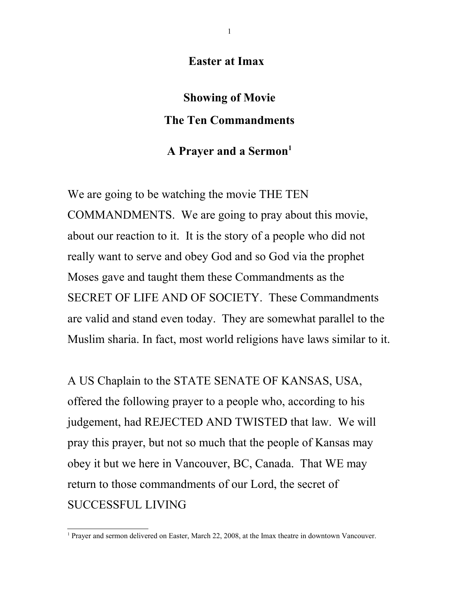**Easter at Imax**

**Showing of Movie The Ten Commandments**

# **A Prayer and a Sermon[1](#page-0-0)**

We are going to be watching the movie THE TEN COMMANDMENTS. We are going to pray about this movie, about our reaction to it. It is the story of a people who did not really want to serve and obey God and so God via the prophet Moses gave and taught them these Commandments as the SECRET OF LIFE AND OF SOCIETY. These Commandments are valid and stand even today. They are somewhat parallel to the Muslim sharia. In fact, most world religions have laws similar to it.

A US Chaplain to the STATE SENATE OF KANSAS, USA, offered the following prayer to a people who, according to his judgement, had REJECTED AND TWISTED that law. We will pray this prayer, but not so much that the people of Kansas may obey it but we here in Vancouver, BC, Canada. That WE may return to those commandments of our Lord, the secret of SUCCESSFUL LIVING

<span id="page-0-0"></span><sup>&</sup>lt;sup>1</sup> Prayer and sermon delivered on Easter, March 22, 2008, at the Imax theatre in downtown Vancouver.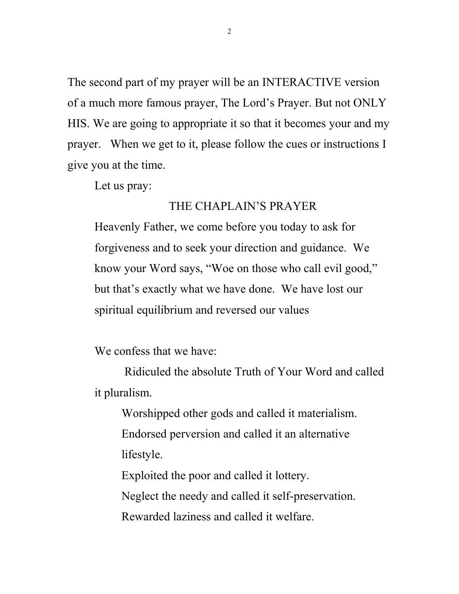The second part of my prayer will be an INTERACTIVE version of a much more famous prayer, The Lord's Prayer. But not ONLY HIS. We are going to appropriate it so that it becomes your and my prayer. When we get to it, please follow the cues or instructions I give you at the time.

Let us pray:

### THE CHAPLAIN'S PRAYER

Heavenly Father, we come before you today to ask for forgiveness and to seek your direction and guidance. We know your Word says, "Woe on those who call evil good," but that's exactly what we have done. We have lost our spiritual equilibrium and reversed our values

We confess that we have:

 Ridiculed the absolute Truth of Your Word and called it pluralism.

Worshipped other gods and called it materialism. Endorsed perversion and called it an alternative lifestyle.

Exploited the poor and called it lottery.

Neglect the needy and called it self-preservation.

Rewarded laziness and called it welfare.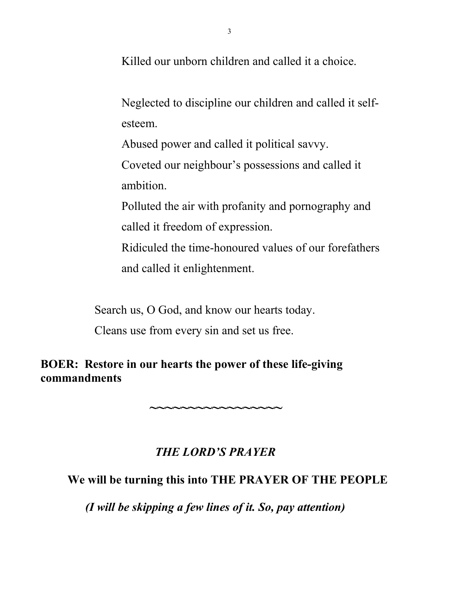Killed our unborn children and called it a choice.

Neglected to discipline our children and called it selfesteem.

Abused power and called it political savvy.

Coveted our neighbour's possessions and called it ambition.

Polluted the air with profanity and pornography and called it freedom of expression.

Ridiculed the time-honoured values of our forefathers and called it enlightenment.

Search us, O God, and know our hearts today.

Cleans use from every sin and set us free.

# **BOER: Restore in our hearts the power of these life-giving commandments**

# *THE LORD'S PRAYER*

**~~~~~~~~~~~~~~~~~**

## **We will be turning this into THE PRAYER OF THE PEOPLE**

*(I will be skipping a few lines of it. So, pay attention)*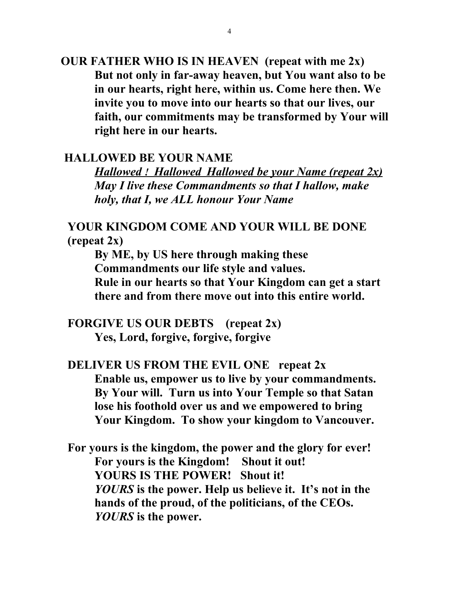**OUR FATHER WHO IS IN HEAVEN (repeat with me 2x) But not only in far-away heaven, but You want also to be in our hearts, right here, within us. Come here then. We invite you to move into our hearts so that our lives, our faith, our commitments may be transformed by Your will right here in our hearts.**

### **HALLOWED BE YOUR NAME**

 *Hallowed ! Hallowed Hallowed be your Name (repeat 2x) May I live these Commandments so that I hallow, make holy, that I, we ALL honour Your Name*

### **YOUR KINGDOM COME AND YOUR WILL BE DONE (repeat 2x)**

**By ME, by US here through making these Commandments our life style and values. Rule in our hearts so that Your Kingdom can get a start there and from there move out into this entire world.**

**FORGIVE US OUR DEBTS (repeat 2x) Yes, Lord, forgive, forgive, forgive**

# **DELIVER US FROM THE EVIL ONE repeat 2x Enable us, empower us to live by your commandments. By Your will. Turn us into Your Temple so that Satan lose his foothold over us and we empowered to bring Your Kingdom. To show your kingdom to Vancouver.**

**For yours is the kingdom, the power and the glory for ever! For yours is the Kingdom! Shout it out! YOURS IS THE POWER! Shout it!**  *YOURS* **is the power. Help us believe it. It's not in the hands of the proud, of the politicians, of the CEOs.**  *YOURS* **is the power.**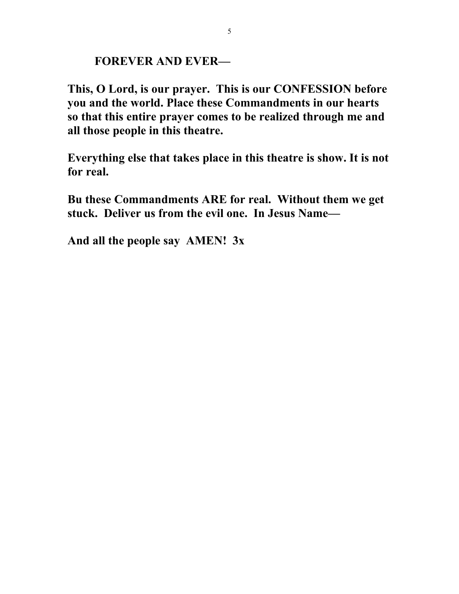## **FOREVER AND EVER—**

**This, O Lord, is our prayer. This is our CONFESSION before you and the world. Place these Commandments in our hearts so that this entire prayer comes to be realized through me and all those people in this theatre.** 

**Everything else that takes place in this theatre is show. It is not for real.** 

**Bu these Commandments ARE for real. Without them we get stuck. Deliver us from the evil one. In Jesus Name—**

**And all the people say AMEN! 3x**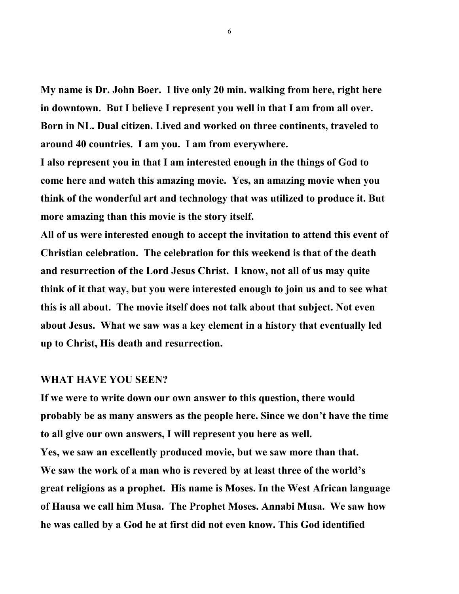**My name is Dr. John Boer. I live only 20 min. walking from here, right here in downtown. But I believe I represent you well in that I am from all over. Born in NL. Dual citizen. Lived and worked on three continents, traveled to around 40 countries. I am you. I am from everywhere.** 

**I also represent you in that I am interested enough in the things of God to come here and watch this amazing movie. Yes, an amazing movie when you think of the wonderful art and technology that was utilized to produce it. But more amazing than this movie is the story itself.** 

**All of us were interested enough to accept the invitation to attend this event of Christian celebration. The celebration for this weekend is that of the death and resurrection of the Lord Jesus Christ. I know, not all of us may quite think of it that way, but you were interested enough to join us and to see what this is all about. The movie itself does not talk about that subject. Not even about Jesus. What we saw was a key element in a history that eventually led up to Christ, His death and resurrection.** 

#### **WHAT HAVE YOU SEEN?**

**If we were to write down our own answer to this question, there would probably be as many answers as the people here. Since we don't have the time to all give our own answers, I will represent you here as well. Yes, we saw an excellently produced movie, but we saw more than that. We saw the work of a man who is revered by at least three of the world's great religions as a prophet. His name is Moses. In the West African language of Hausa we call him Musa. The Prophet Moses. Annabi Musa. We saw how he was called by a God he at first did not even know. This God identified**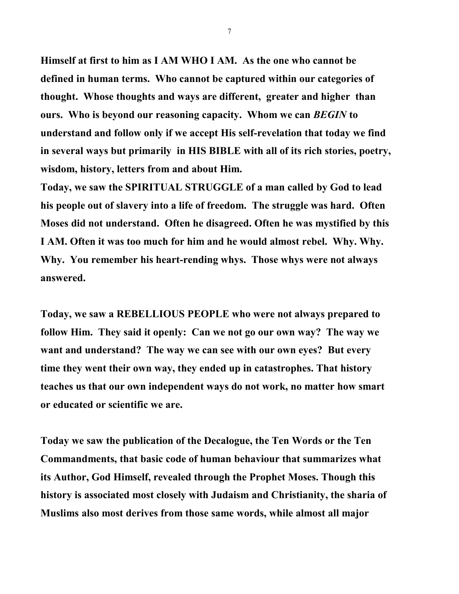**Himself at first to him as I AM WHO I AM. As the one who cannot be defined in human terms. Who cannot be captured within our categories of thought. Whose thoughts and ways are different, greater and higher than ours. Who is beyond our reasoning capacity. Whom we can** *BEGIN* **to understand and follow only if we accept His self-revelation that today we find in several ways but primarily in HIS BIBLE with all of its rich stories, poetry, wisdom, history, letters from and about Him.** 

**Today, we saw the SPIRITUAL STRUGGLE of a man called by God to lead his people out of slavery into a life of freedom. The struggle was hard. Often Moses did not understand. Often he disagreed. Often he was mystified by this I AM. Often it was too much for him and he would almost rebel. Why. Why. Why. You remember his heart-rending whys. Those whys were not always answered.** 

**Today, we saw a REBELLIOUS PEOPLE who were not always prepared to follow Him. They said it openly: Can we not go our own way? The way we want and understand? The way we can see with our own eyes? But every time they went their own way, they ended up in catastrophes. That history teaches us that our own independent ways do not work, no matter how smart or educated or scientific we are.**

**Today we saw the publication of the Decalogue, the Ten Words or the Ten Commandments, that basic code of human behaviour that summarizes what its Author, God Himself, revealed through the Prophet Moses. Though this history is associated most closely with Judaism and Christianity, the sharia of Muslims also most derives from those same words, while almost all major**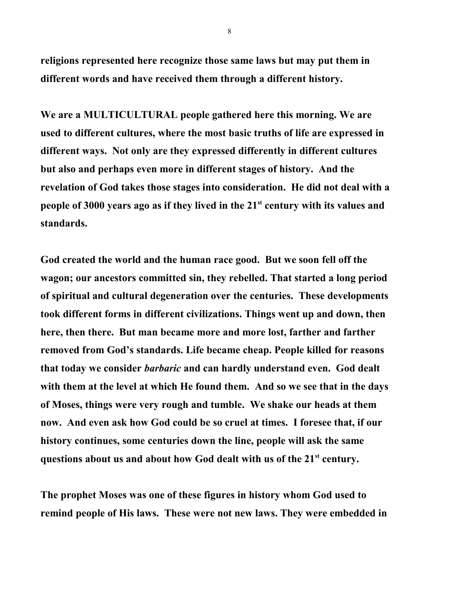**religions represented here recognize those same laws but may put them in different words and have received them through a different history.** 

**We are a MULTICULTURAL people gathered here this morning. We are used to different cultures, where the most basic truths of life are expressed in different ways. Not only are they expressed differently in different cultures but also and perhaps even more in different stages of history. And the revelation of God takes those stages into consideration. He did not deal with a people of 3000 years ago as if they lived in the 21st century with its values and standards.** 

**God created the world and the human race good. But we soon fell off the wagon; our ancestors committed sin, they rebelled. That started a long period of spiritual and cultural degeneration over the centuries. These developments took different forms in different civilizations. Things went up and down, then here, then there. But man became more and more lost, farther and farther removed from God's standards. Life became cheap. People killed for reasons that today we consider** *barbaric* **and can hardly understand even. God dealt with them at the level at which He found them. And so we see that in the days of Moses, things were very rough and tumble. We shake our heads at them now. And even ask how God could be so cruel at times. I foresee that, if our history continues, some centuries down the line, people will ask the same questions about us and about how God dealt with us of the 21st century.** 

**The prophet Moses was one of these figures in history whom God used to remind people of His laws. These were not new laws. They were embedded in**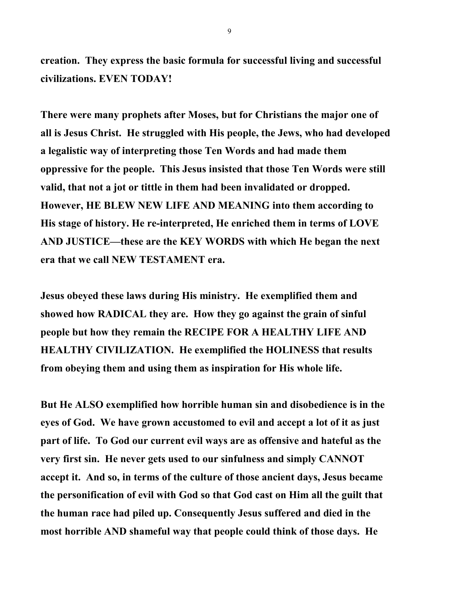**creation. They express the basic formula for successful living and successful civilizations. EVEN TODAY!** 

**There were many prophets after Moses, but for Christians the major one of all is Jesus Christ. He struggled with His people, the Jews, who had developed a legalistic way of interpreting those Ten Words and had made them oppressive for the people. This Jesus insisted that those Ten Words were still valid, that not a jot or tittle in them had been invalidated or dropped. However, HE BLEW NEW LIFE AND MEANING into them according to His stage of history. He re-interpreted, He enriched them in terms of LOVE AND JUSTICE—these are the KEY WORDS with which He began the next era that we call NEW TESTAMENT era.**

**Jesus obeyed these laws during His ministry. He exemplified them and showed how RADICAL they are. How they go against the grain of sinful people but how they remain the RECIPE FOR A HEALTHY LIFE AND HEALTHY CIVILIZATION. He exemplified the HOLINESS that results from obeying them and using them as inspiration for His whole life.** 

**But He ALSO exemplified how horrible human sin and disobedience is in the eyes of God. We have grown accustomed to evil and accept a lot of it as just part of life. To God our current evil ways are as offensive and hateful as the very first sin. He never gets used to our sinfulness and simply CANNOT accept it. And so, in terms of the culture of those ancient days, Jesus became the personification of evil with God so that God cast on Him all the guilt that the human race had piled up. Consequently Jesus suffered and died in the most horrible AND shameful way that people could think of those days. He**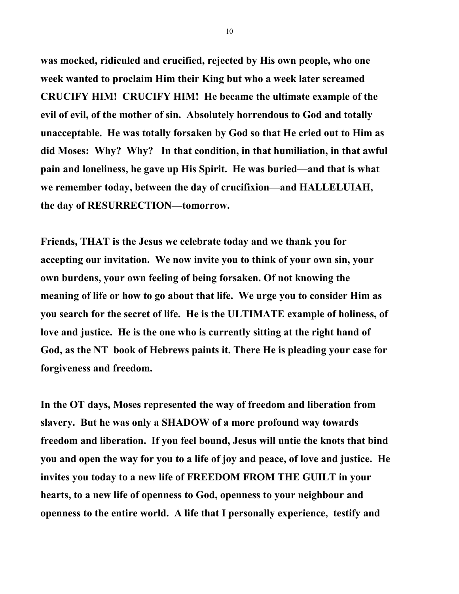**was mocked, ridiculed and crucified, rejected by His own people, who one week wanted to proclaim Him their King but who a week later screamed CRUCIFY HIM! CRUCIFY HIM! He became the ultimate example of the evil of evil, of the mother of sin. Absolutely horrendous to God and totally unacceptable. He was totally forsaken by God so that He cried out to Him as did Moses: Why? Why? In that condition, in that humiliation, in that awful pain and loneliness, he gave up His Spirit. He was buried—and that is what we remember today, between the day of crucifixion—and HALLELUIAH, the day of RESURRECTION—tomorrow.** 

**Friends, THAT is the Jesus we celebrate today and we thank you for accepting our invitation. We now invite you to think of your own sin, your own burdens, your own feeling of being forsaken. Of not knowing the meaning of life or how to go about that life. We urge you to consider Him as you search for the secret of life. He is the ULTIMATE example of holiness, of love and justice. He is the one who is currently sitting at the right hand of God, as the NT book of Hebrews paints it. There He is pleading your case for forgiveness and freedom.** 

**In the OT days, Moses represented the way of freedom and liberation from slavery. But he was only a SHADOW of a more profound way towards freedom and liberation. If you feel bound, Jesus will untie the knots that bind you and open the way for you to a life of joy and peace, of love and justice. He invites you today to a new life of FREEDOM FROM THE GUILT in your hearts, to a new life of openness to God, openness to your neighbour and openness to the entire world. A life that I personally experience, testify and**